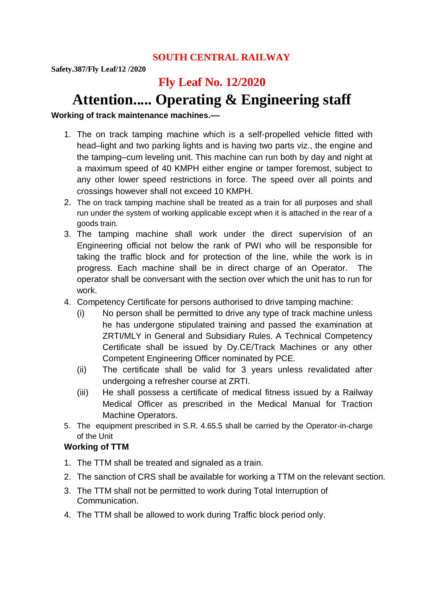### **SOUTH CENTRAL RAILWAY**

**Safety.387/Fly Leaf/12 /2020**

## **Fly Leaf No. 12/2020**

# **Attention..... Operating & Engineering staff**

**Working of track maintenance machines.––**

- 1. The on track tamping machine which is a self-propelled vehicle fitted with head–light and two parking lights and is having two parts viz., the engine and the tamping–cum leveling unit. This machine can run both by day and night at a maximum speed of 40 KMPH either engine or tamper foremost, subject to any other lower speed restrictions in force. The speed over all points and crossings however shall not exceed 10 KMPH.
- 2. The on track tamping machine shall be treated as a train for all purposes and shall run under the system of working applicable except when it is attached in the rear of a goods train.
- 3. The tamping machine shall work under the direct supervision of an Engineering official not below the rank of PWI who will be responsible for taking the traffic block and for protection of the line, while the work is in progress. Each machine shall be in direct charge of an Operator. The operator shall be conversant with the section over which the unit has to run for work.
- 4. Competency Certificate for persons authorised to drive tamping machine:
	- (i) No person shall be permitted to drive any type of track machine unless he has undergone stipulated training and passed the examination at ZRTI/MLY in General and Subsidiary Rules. A Technical Competency Certificate shall be issued by Dy.CE/Track Machines or any other Competent Engineering Officer nominated by PCE.
	- (ii) The certificate shall be valid for 3 years unless revalidated after undergoing a refresher course at ZRTI.
	- (iii) He shall possess a certificate of medical fitness issued by a Railway Medical Officer as prescribed in the Medical Manual for Traction Machine Operators.
- 5. The equipment prescribed in S.R. 4.65.5 shall be carried by the Operator-in-charge of the Unit

#### **Working of TTM**

- 1. The TTM shall be treated and signaled as a train.
- 2. The sanction of CRS shall be available for working a TTM on the relevant section.
- 3. The TTM shall not be permitted to work during Total Interruption of Communication.
- 4. The TTM shall be allowed to work during Traffic block period only.